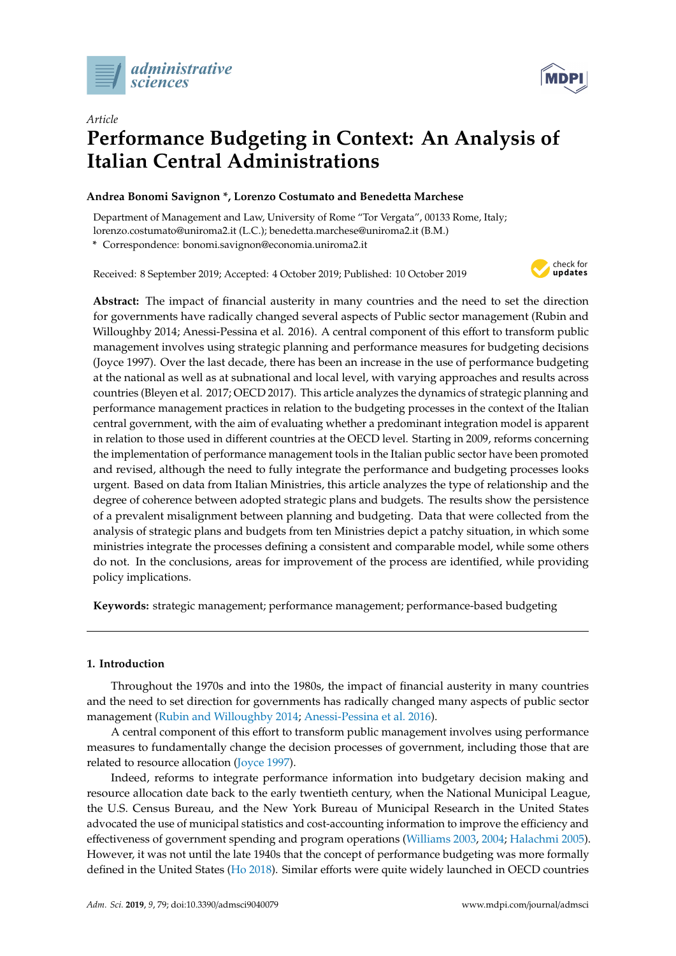



# *Article* **Performance Budgeting in Context: An Analysis of Italian Central Administrations**

# **Andrea Bonomi Savignon \*, Lorenzo Costumato and Benedetta Marchese**

Department of Management and Law, University of Rome "Tor Vergata", 00133 Rome, Italy; lorenzo.costumato@uniroma2.it (L.C.); benedetta.marchese@uniroma2.it (B.M.)

**\*** Correspondence: bonomi.savignon@economia.uniroma2.it

Received: 8 September 2019; Accepted: 4 October 2019; Published: 10 October 2019



**Abstract:** The impact of financial austerity in many countries and the need to set the direction for governments have radically changed several aspects of Public sector management (Rubin and Willoughby 2014; Anessi-Pessina et al. 2016). A central component of this effort to transform public management involves using strategic planning and performance measures for budgeting decisions (Joyce 1997). Over the last decade, there has been an increase in the use of performance budgeting at the national as well as at subnational and local level, with varying approaches and results across countries (Bleyen et al. 2017; OECD 2017). This article analyzes the dynamics of strategic planning and performance management practices in relation to the budgeting processes in the context of the Italian central government, with the aim of evaluating whether a predominant integration model is apparent in relation to those used in different countries at the OECD level. Starting in 2009, reforms concerning the implementation of performance management tools in the Italian public sector have been promoted and revised, although the need to fully integrate the performance and budgeting processes looks urgent. Based on data from Italian Ministries, this article analyzes the type of relationship and the degree of coherence between adopted strategic plans and budgets. The results show the persistence of a prevalent misalignment between planning and budgeting. Data that were collected from the analysis of strategic plans and budgets from ten Ministries depict a patchy situation, in which some ministries integrate the processes defining a consistent and comparable model, while some others do not. In the conclusions, areas for improvement of the process are identified, while providing policy implications.

**Keywords:** strategic management; performance management; performance-based budgeting

## **1. Introduction**

Throughout the 1970s and into the 1980s, the impact of financial austerity in many countries and the need to set direction for governments has radically changed many aspects of public sector management [\(Rubin and Willoughby](#page-14-0) [2014;](#page-14-0) [Anessi-Pessina et al.](#page-11-0) [2016\)](#page-11-0).

A central component of this effort to transform public management involves using performance measures to fundamentally change the decision processes of government, including those that are related to resource allocation [\(Joyce](#page-12-0) [1997\)](#page-12-0).

Indeed, reforms to integrate performance information into budgetary decision making and resource allocation date back to the early twentieth century, when the National Municipal League, the U.S. Census Bureau, and the New York Bureau of Municipal Research in the United States advocated the use of municipal statistics and cost-accounting information to improve the efficiency and effectiveness of government spending and program operations [\(Williams](#page-14-1) [2003,](#page-14-1) [2004;](#page-14-2) [Halachmi](#page-12-1) [2005\)](#page-12-1). However, it was not until the late 1940s that the concept of performance budgeting was more formally defined in the United States [\(Ho](#page-12-2) [2018\)](#page-12-2). Similar efforts were quite widely launched in OECD countries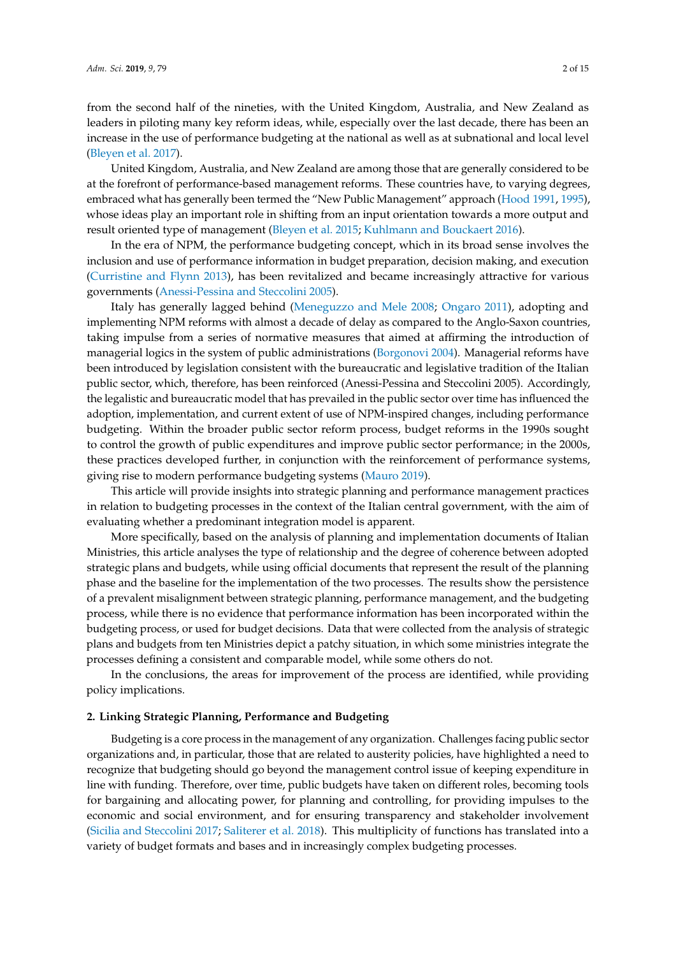from the second half of the nineties, with the United Kingdom, Australia, and New Zealand as leaders in piloting many key reform ideas, while, especially over the last decade, there has been an increase in the use of performance budgeting at the national as well as at subnational and local level [\(Bleyen et al.](#page-11-1) [2017\)](#page-11-1).

United Kingdom, Australia, and New Zealand are among those that are generally considered to be at the forefront of performance-based management reforms. These countries have, to varying degrees, embraced what has generally been termed the "New Public Management" approach [\(Hood](#page-12-3) [1991,](#page-12-3) [1995\)](#page-12-4), whose ideas play an important role in shifting from an input orientation towards a more output and result oriented type of management [\(Bleyen et al.](#page-11-2) [2015;](#page-11-2) [Kuhlmann and Bouckaert](#page-12-5) [2016\)](#page-12-5).

In the era of NPM, the performance budgeting concept, which in its broad sense involves the inclusion and use of performance information in budget preparation, decision making, and execution [\(Curristine and Flynn](#page-12-6) [2013\)](#page-12-6), has been revitalized and became increasingly attractive for various governments [\(Anessi-Pessina and Steccolini](#page-11-3) [2005\)](#page-11-3).

Italy has generally lagged behind [\(Meneguzzo and Mele](#page-13-0) [2008;](#page-13-0) [Ongaro](#page-13-1) [2011\)](#page-13-1), adopting and implementing NPM reforms with almost a decade of delay as compared to the Anglo-Saxon countries, taking impulse from a series of normative measures that aimed at affirming the introduction of managerial logics in the system of public administrations [\(Borgonovi](#page-11-4) [2004\)](#page-11-4). Managerial reforms have been introduced by legislation consistent with the bureaucratic and legislative tradition of the Italian public sector, which, therefore, has been reinforced (Anessi-Pessina and Steccolini 2005). Accordingly, the legalistic and bureaucratic model that has prevailed in the public sector over time has influenced the adoption, implementation, and current extent of use of NPM-inspired changes, including performance budgeting. Within the broader public sector reform process, budget reforms in the 1990s sought to control the growth of public expenditures and improve public sector performance; in the 2000s, these practices developed further, in conjunction with the reinforcement of performance systems, giving rise to modern performance budgeting systems [\(Mauro](#page-13-2) [2019\)](#page-13-2).

This article will provide insights into strategic planning and performance management practices in relation to budgeting processes in the context of the Italian central government, with the aim of evaluating whether a predominant integration model is apparent.

More specifically, based on the analysis of planning and implementation documents of Italian Ministries, this article analyses the type of relationship and the degree of coherence between adopted strategic plans and budgets, while using official documents that represent the result of the planning phase and the baseline for the implementation of the two processes. The results show the persistence of a prevalent misalignment between strategic planning, performance management, and the budgeting process, while there is no evidence that performance information has been incorporated within the budgeting process, or used for budget decisions. Data that were collected from the analysis of strategic plans and budgets from ten Ministries depict a patchy situation, in which some ministries integrate the processes defining a consistent and comparable model, while some others do not.

In the conclusions, the areas for improvement of the process are identified, while providing policy implications.

### **2. Linking Strategic Planning, Performance and Budgeting**

Budgeting is a core process in the management of any organization. Challenges facing public sector organizations and, in particular, those that are related to austerity policies, have highlighted a need to recognize that budgeting should go beyond the management control issue of keeping expenditure in line with funding. Therefore, over time, public budgets have taken on different roles, becoming tools for bargaining and allocating power, for planning and controlling, for providing impulses to the economic and social environment, and for ensuring transparency and stakeholder involvement [\(Sicilia and Steccolini](#page-14-3) [2017;](#page-14-3) [Saliterer et al.](#page-14-4) [2018\)](#page-14-4). This multiplicity of functions has translated into a variety of budget formats and bases and in increasingly complex budgeting processes.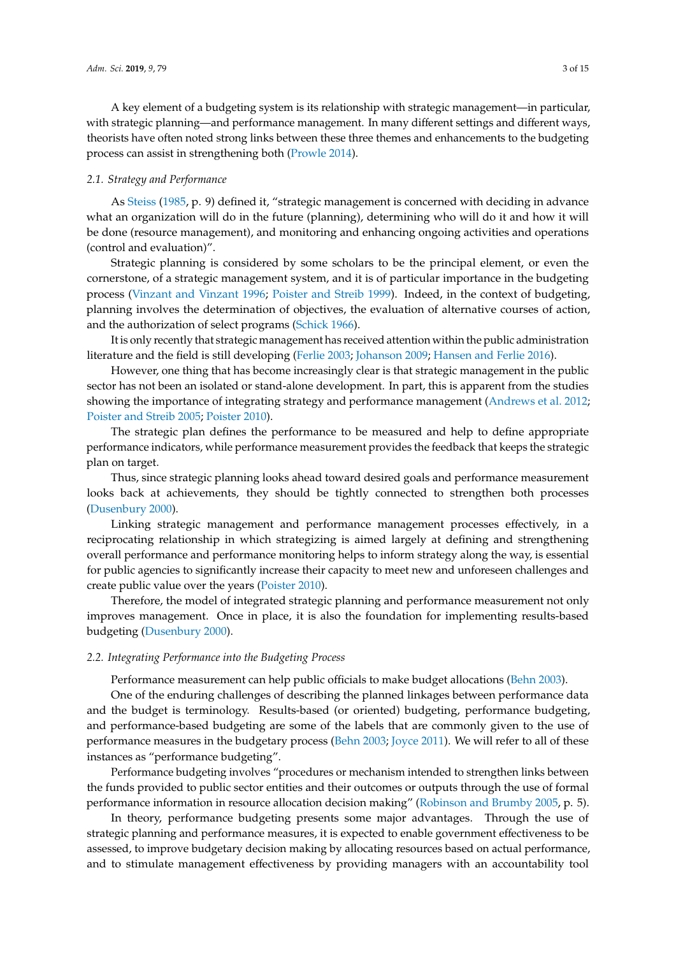A key element of a budgeting system is its relationship with strategic management—in particular, with strategic planning—and performance management. In many different settings and different ways, theorists have often noted strong links between these three themes and enhancements to the budgeting process can assist in strengthening both [\(Prowle](#page-13-3) [2014\)](#page-13-3).

## *2.1. Strategy and Performance*

As [Steiss](#page-14-5) [\(1985,](#page-14-5) p. 9) defined it, "strategic management is concerned with deciding in advance what an organization will do in the future (planning), determining who will do it and how it will be done (resource management), and monitoring and enhancing ongoing activities and operations (control and evaluation)".

Strategic planning is considered by some scholars to be the principal element, or even the cornerstone, of a strategic management system, and it is of particular importance in the budgeting process [\(Vinzant and Vinzant](#page-14-6) [1996;](#page-14-6) [Poister and Streib](#page-13-4) [1999\)](#page-13-4). Indeed, in the context of budgeting, planning involves the determination of objectives, the evaluation of alternative courses of action, and the authorization of select programs [\(Schick](#page-14-7) [1966\)](#page-14-7).

It is only recently that strategic management has received attention within the public administration literature and the field is still developing [\(Ferlie](#page-12-7) [2003;](#page-12-7) [Johanson](#page-12-8) [2009;](#page-12-8) [Hansen and Ferlie](#page-12-9) [2016\)](#page-12-9).

However, one thing that has become increasingly clear is that strategic management in the public sector has not been an isolated or stand-alone development. In part, this is apparent from the studies showing the importance of integrating strategy and performance management [\(Andrews et al.](#page-11-5) [2012;](#page-11-5) [Poister and Streib](#page-13-5) [2005;](#page-13-5) [Poister](#page-13-6) [2010\)](#page-13-6).

The strategic plan defines the performance to be measured and help to define appropriate performance indicators, while performance measurement provides the feedback that keeps the strategic plan on target.

Thus, since strategic planning looks ahead toward desired goals and performance measurement looks back at achievements, they should be tightly connected to strengthen both processes [\(Dusenbury](#page-12-10) [2000\)](#page-12-10).

Linking strategic management and performance management processes effectively, in a reciprocating relationship in which strategizing is aimed largely at defining and strengthening overall performance and performance monitoring helps to inform strategy along the way, is essential for public agencies to significantly increase their capacity to meet new and unforeseen challenges and create public value over the years [\(Poister](#page-13-6) [2010\)](#page-13-6).

Therefore, the model of integrated strategic planning and performance measurement not only improves management. Once in place, it is also the foundation for implementing results-based budgeting [\(Dusenbury](#page-12-10) [2000\)](#page-12-10).

#### *2.2. Integrating Performance into the Budgeting Process*

Performance measurement can help public officials to make budget allocations [\(Behn](#page-11-6) [2003\)](#page-11-6).

One of the enduring challenges of describing the planned linkages between performance data and the budget is terminology. Results-based (or oriented) budgeting, performance budgeting, and performance-based budgeting are some of the labels that are commonly given to the use of performance measures in the budgetary process [\(Behn](#page-11-6) [2003;](#page-11-6) [Joyce](#page-12-11) [2011\)](#page-12-11). We will refer to all of these instances as "performance budgeting".

Performance budgeting involves "procedures or mechanism intended to strengthen links between the funds provided to public sector entities and their outcomes or outputs through the use of formal performance information in resource allocation decision making" [\(Robinson and Brumby](#page-13-7) [2005,](#page-13-7) p. 5).

In theory, performance budgeting presents some major advantages. Through the use of strategic planning and performance measures, it is expected to enable government effectiveness to be assessed, to improve budgetary decision making by allocating resources based on actual performance, and to stimulate management effectiveness by providing managers with an accountability tool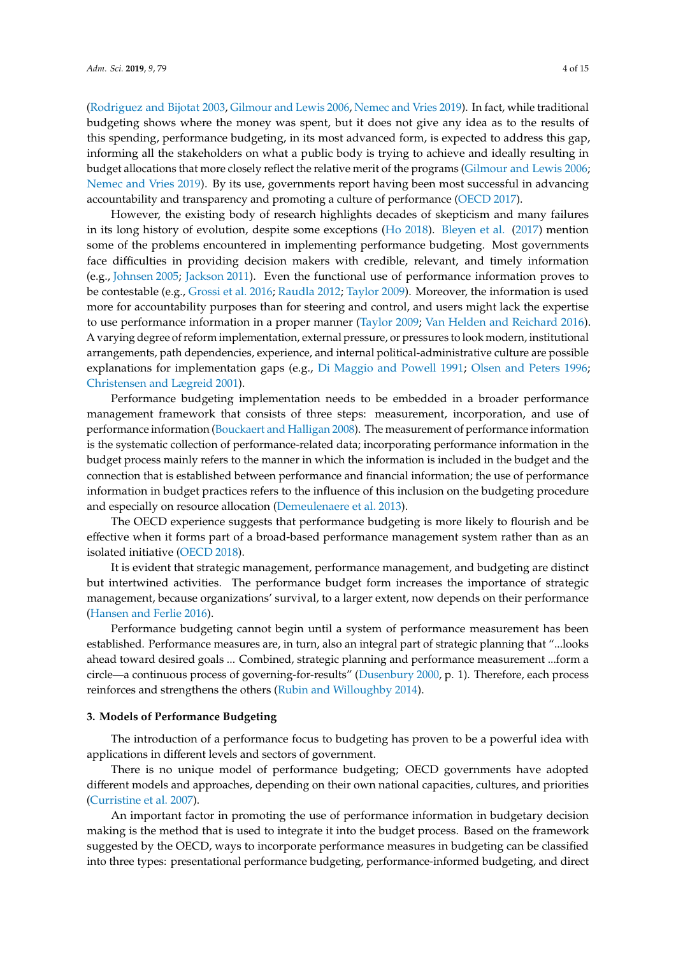[\(Rodriguez and Bijotat](#page-14-8) [2003,](#page-14-8) [Gilmour and Lewis](#page-12-12) [2006,](#page-12-12) [Nemec and Vries](#page-13-8) [2019\)](#page-13-8). In fact, while traditional budgeting shows where the money was spent, but it does not give any idea as to the results of this spending, performance budgeting, in its most advanced form, is expected to address this gap, informing all the stakeholders on what a public body is trying to achieve and ideally resulting in budget allocations that more closely reflect the relative merit of the programs [\(Gilmour and Lewis](#page-12-12) [2006;](#page-12-12) [Nemec and Vries](#page-13-8) [2019\)](#page-13-8). By its use, governments report having been most successful in advancing accountability and transparency and promoting a culture of performance [\(OECD](#page-13-9) [2017\)](#page-13-9).

However, the existing body of research highlights decades of skepticism and many failures in its long history of evolution, despite some exceptions [\(Ho](#page-12-2) [2018\)](#page-12-2). [Bleyen et al.](#page-11-1) [\(2017\)](#page-11-1) mention some of the problems encountered in implementing performance budgeting. Most governments face difficulties in providing decision makers with credible, relevant, and timely information (e.g., [Johnsen](#page-12-13) [2005;](#page-12-13) [Jackson](#page-12-14) [2011\)](#page-12-14). Even the functional use of performance information proves to be contestable (e.g., [Grossi et al.](#page-12-15) [2016;](#page-12-15) [Raudla](#page-13-10) [2012;](#page-13-10) [Taylor](#page-14-9) [2009\)](#page-14-9). Moreover, the information is used more for accountability purposes than for steering and control, and users might lack the expertise to use performance information in a proper manner [\(Taylor](#page-14-9) [2009;](#page-14-9) [Van Helden and Reichard](#page-14-10) [2016\)](#page-14-10). A varying degree of reform implementation, external pressure, or pressures to look modern, institutional arrangements, path dependencies, experience, and internal political-administrative culture are possible explanations for implementation gaps (e.g., [Di Maggio and Powell](#page-12-16) [1991;](#page-12-16) [Olsen and Peters](#page-13-11) [1996;](#page-13-11) [Christensen and Lægreid](#page-11-7) [2001\)](#page-11-7).

Performance budgeting implementation needs to be embedded in a broader performance management framework that consists of three steps: measurement, incorporation, and use of performance information [\(Bouckaert and Halligan](#page-11-8) [2008\)](#page-11-8). The measurement of performance information is the systematic collection of performance-related data; incorporating performance information in the budget process mainly refers to the manner in which the information is included in the budget and the connection that is established between performance and financial information; the use of performance information in budget practices refers to the influence of this inclusion on the budgeting procedure and especially on resource allocation [\(Demeulenaere et al.](#page-12-17) [2013\)](#page-12-17).

The OECD experience suggests that performance budgeting is more likely to flourish and be effective when it forms part of a broad-based performance management system rather than as an isolated initiative [\(OECD](#page-13-12) [2018\)](#page-13-12).

It is evident that strategic management, performance management, and budgeting are distinct but intertwined activities. The performance budget form increases the importance of strategic management, because organizations' survival, to a larger extent, now depends on their performance [\(Hansen and Ferlie](#page-12-9) [2016\)](#page-12-9).

Performance budgeting cannot begin until a system of performance measurement has been established. Performance measures are, in turn, also an integral part of strategic planning that "...looks ahead toward desired goals ... Combined, strategic planning and performance measurement ...form a circle—a continuous process of governing-for-results" [\(Dusenbury](#page-12-10) [2000,](#page-12-10) p. 1). Therefore, each process reinforces and strengthens the others [\(Rubin and Willoughby](#page-14-0) [2014\)](#page-14-0).

## **3. Models of Performance Budgeting**

The introduction of a performance focus to budgeting has proven to be a powerful idea with applications in different levels and sectors of government.

There is no unique model of performance budgeting; OECD governments have adopted different models and approaches, depending on their own national capacities, cultures, and priorities [\(Curristine et al.](#page-12-18) [2007\)](#page-12-18).

An important factor in promoting the use of performance information in budgetary decision making is the method that is used to integrate it into the budget process. Based on the framework suggested by the OECD, ways to incorporate performance measures in budgeting can be classified into three types: presentational performance budgeting, performance-informed budgeting, and direct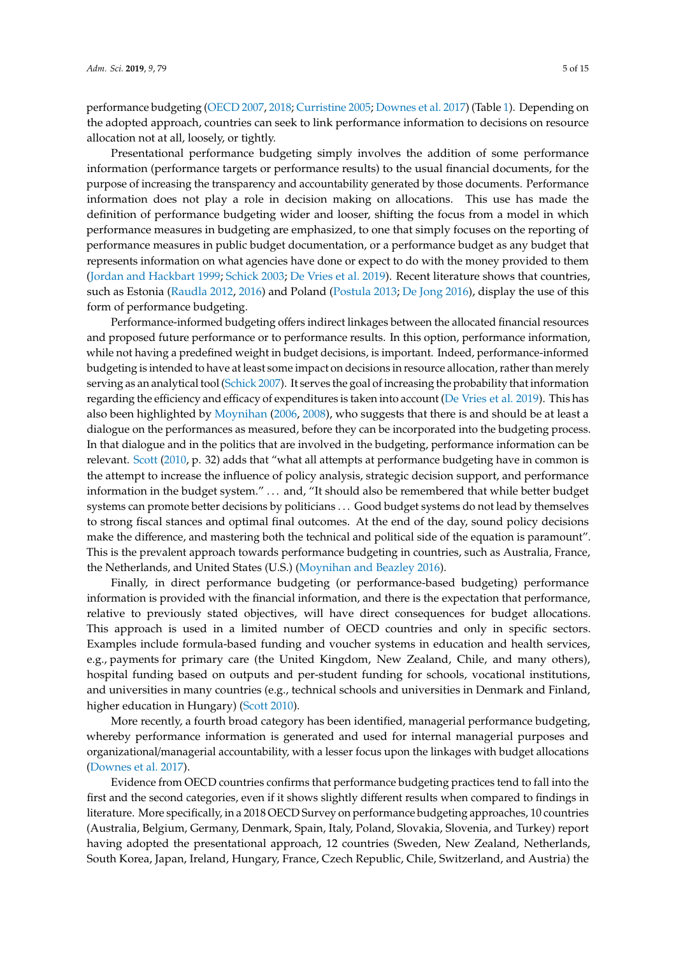performance budgeting [\(OECD](#page-13-13) [2007,](#page-13-13) [2018;](#page-13-12) [Curristine](#page-11-9) [2005;](#page-11-9) [Downes et al.](#page-12-19) [2017\)](#page-12-19) (Table [1\)](#page-5-0). Depending on the adopted approach, countries can seek to link performance information to decisions on resource allocation not at all, loosely, or tightly.

Presentational performance budgeting simply involves the addition of some performance information (performance targets or performance results) to the usual financial documents, for the purpose of increasing the transparency and accountability generated by those documents. Performance information does not play a role in decision making on allocations. This use has made the definition of performance budgeting wider and looser, shifting the focus from a model in which performance measures in budgeting are emphasized, to one that simply focuses on the reporting of performance measures in public budget documentation, or a performance budget as any budget that represents information on what agencies have done or expect to do with the money provided to them [\(Jordan and Hackbart](#page-12-20) [1999;](#page-12-20) [Schick](#page-14-11) [2003;](#page-14-11) [De Vries et al.](#page-12-21) [2019\)](#page-12-21). Recent literature shows that countries, such as Estonia [\(Raudla](#page-13-10) [2012,](#page-13-10) [2016\)](#page-13-14) and Poland [\(Postula](#page-13-15) [2013;](#page-13-15) [De Jong](#page-12-22) [2016\)](#page-12-22), display the use of this form of performance budgeting.

Performance-informed budgeting offers indirect linkages between the allocated financial resources and proposed future performance or to performance results. In this option, performance information, while not having a predefined weight in budget decisions, is important. Indeed, performance-informed budgeting is intended to have at least some impact on decisions in resource allocation, rather than merely serving as an analytical tool [\(Schick](#page-14-12) [2007\)](#page-14-12). It serves the goal of increasing the probability that information regarding the efficiency and efficacy of expenditures is taken into account [\(De Vries et al.](#page-12-21) [2019\)](#page-12-21). This has also been highlighted by [Moynihan](#page-13-16) [\(2006,](#page-13-16) [2008\)](#page-13-17), who suggests that there is and should be at least a dialogue on the performances as measured, before they can be incorporated into the budgeting process. In that dialogue and in the politics that are involved in the budgeting, performance information can be relevant. [Scott](#page-14-13) [\(2010,](#page-14-13) p. 32) adds that "what all attempts at performance budgeting have in common is the attempt to increase the influence of policy analysis, strategic decision support, and performance information in the budget system." . . . and, "It should also be remembered that while better budget systems can promote better decisions by politicians . . . Good budget systems do not lead by themselves to strong fiscal stances and optimal final outcomes. At the end of the day, sound policy decisions make the difference, and mastering both the technical and political side of the equation is paramount". This is the prevalent approach towards performance budgeting in countries, such as Australia, France, the Netherlands, and United States (U.S.) [\(Moynihan and Beazley](#page-13-18) [2016\)](#page-13-18).

Finally, in direct performance budgeting (or performance-based budgeting) performance information is provided with the financial information, and there is the expectation that performance, relative to previously stated objectives, will have direct consequences for budget allocations. This approach is used in a limited number of OECD countries and only in specific sectors. Examples include formula-based funding and voucher systems in education and health services, e.g., payments for primary care (the United Kingdom, New Zealand, Chile, and many others), hospital funding based on outputs and per-student funding for schools, vocational institutions, and universities in many countries (e.g., technical schools and universities in Denmark and Finland, higher education in Hungary) [\(Scott](#page-14-13) [2010\)](#page-14-13).

More recently, a fourth broad category has been identified, managerial performance budgeting, whereby performance information is generated and used for internal managerial purposes and organizational/managerial accountability, with a lesser focus upon the linkages with budget allocations [\(Downes et al.](#page-12-19) [2017\)](#page-12-19).

Evidence from OECD countries confirms that performance budgeting practices tend to fall into the first and the second categories, even if it shows slightly different results when compared to findings in literature. More specifically, in a 2018 OECD Survey on performance budgeting approaches, 10 countries (Australia, Belgium, Germany, Denmark, Spain, Italy, Poland, Slovakia, Slovenia, and Turkey) report having adopted the presentational approach, 12 countries (Sweden, New Zealand, Netherlands, South Korea, Japan, Ireland, Hungary, France, Czech Republic, Chile, Switzerland, and Austria) the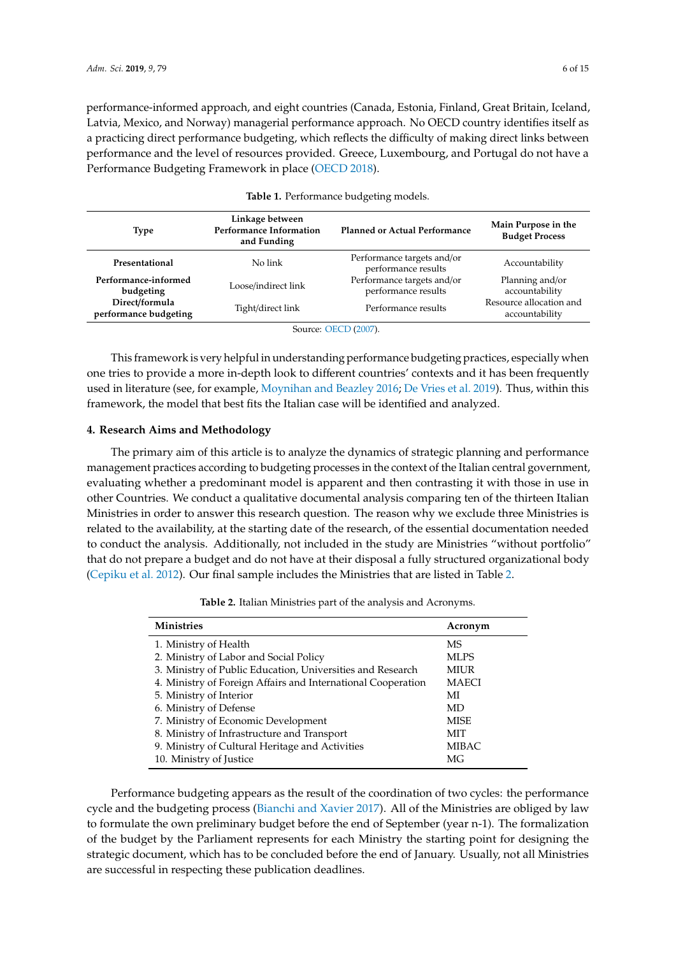performance-informed approach, and eight countries (Canada, Estonia, Finland, Great Britain, Iceland, Latvia, Mexico, and Norway) managerial performance approach. No OECD country identifies itself as a practicing direct performance budgeting, which reflects the difficulty of making direct links between performance and the level of resources provided. Greece, Luxembourg, and Portugal do not have a Performance Budgeting Framework in place [\(OECD](#page-13-12) [2018\)](#page-13-12).

<span id="page-5-0"></span>

| <b>Type</b>                                                  | Linkage between<br><b>Performance Information</b><br>and Funding | <b>Planned or Actual Performance</b>              | Main Purpose in the<br><b>Budget Process</b> |  |
|--------------------------------------------------------------|------------------------------------------------------------------|---------------------------------------------------|----------------------------------------------|--|
| Presentational                                               | No link                                                          | Performance targets and/or<br>performance results | Accountability                               |  |
| Performance-informed<br>budgeting                            | Loose/indirect link                                              | Performance targets and/or<br>performance results | Planning and/or<br>accountability            |  |
| Direct/formula<br>Tight/direct link<br>performance budgeting |                                                                  | Performance results                               | Resource allocation and<br>accountability    |  |
| $C = C \sqrt{C} \sqrt{C}$                                    |                                                                  |                                                   |                                              |  |

| Table 1. Performance budgeting models. |  |
|----------------------------------------|--|
|----------------------------------------|--|

Source: [OECD](#page-13-13) [\(2007\)](#page-13-13).

This framework is very helpful in understanding performance budgeting practices, especially when one tries to provide a more in-depth look to different countries' contexts and it has been frequently used in literature (see, for example, [Moynihan and Beazley](#page-13-18) [2016;](#page-13-18) [De Vries et al.](#page-12-21) [2019\)](#page-12-21). Thus, within this framework, the model that best fits the Italian case will be identified and analyzed.

## **4. Research Aims and Methodology**

The primary aim of this article is to analyze the dynamics of strategic planning and performance management practices according to budgeting processes in the context of the Italian central government, evaluating whether a predominant model is apparent and then contrasting it with those in use in other Countries. We conduct a qualitative documental analysis comparing ten of the thirteen Italian Ministries in order to answer this research question. The reason why we exclude three Ministries is related to the availability, at the starting date of the research, of the essential documentation needed to conduct the analysis. Additionally, not included in the study are Ministries "without portfolio" that do not prepare a budget and do not have at their disposal a fully structured organizational body [\(Cepiku et al.](#page-11-10) [2012\)](#page-11-10). Our final sample includes the Ministries that are listed in Table [2.](#page-5-1)

**Table 2.** Italian Ministries part of the analysis and Acronyms.

<span id="page-5-1"></span>

| <b>Ministries</b>                                            | Acronym      |
|--------------------------------------------------------------|--------------|
| 1. Ministry of Health                                        | <b>MS</b>    |
| 2. Ministry of Labor and Social Policy                       | MLPS         |
| 3. Ministry of Public Education, Universities and Research   | <b>MIUR</b>  |
| 4. Ministry of Foreign Affairs and International Cooperation | <b>MAECI</b> |
| 5. Ministry of Interior                                      | МI           |
| 6. Ministry of Defense                                       | MD           |
| 7. Ministry of Economic Development                          | <b>MISE</b>  |
| 8. Ministry of Infrastructure and Transport                  | MIT          |
| 9. Ministry of Cultural Heritage and Activities              | MIBAC        |
| 10. Ministry of Justice                                      | МG           |

Performance budgeting appears as the result of the coordination of two cycles: the performance cycle and the budgeting process [\(Bianchi and Xavier](#page-11-11) [2017\)](#page-11-11). All of the Ministries are obliged by law to formulate the own preliminary budget before the end of September (year n-1). The formalization of the budget by the Parliament represents for each Ministry the starting point for designing the strategic document, which has to be concluded before the end of January. Usually, not all Ministries are successful in respecting these publication deadlines.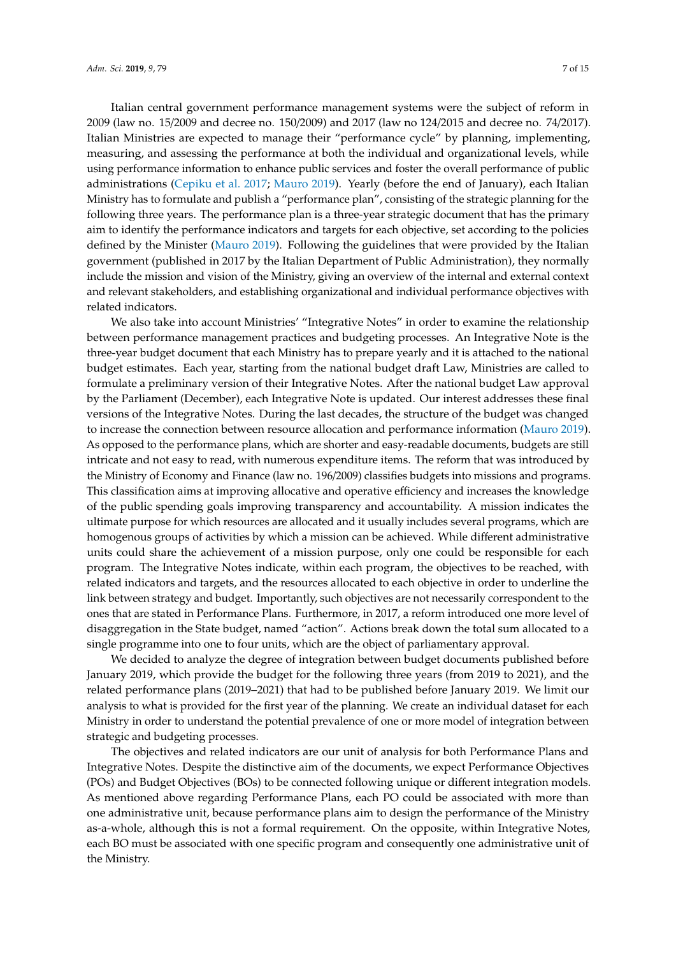Italian central government performance management systems were the subject of reform in 2009 (law no. 15/2009 and decree no. 150/2009) and 2017 (law no 124/2015 and decree no. 74/2017). Italian Ministries are expected to manage their "performance cycle" by planning, implementing, measuring, and assessing the performance at both the individual and organizational levels, while using performance information to enhance public services and foster the overall performance of public administrations [\(Cepiku et al.](#page-11-12) [2017;](#page-11-12) [Mauro](#page-13-2) [2019\)](#page-13-2). Yearly (before the end of January), each Italian Ministry has to formulate and publish a "performance plan", consisting of the strategic planning for the following three years. The performance plan is a three-year strategic document that has the primary aim to identify the performance indicators and targets for each objective, set according to the policies defined by the Minister [\(Mauro](#page-13-2) [2019\)](#page-13-2). Following the guidelines that were provided by the Italian government (published in 2017 by the Italian Department of Public Administration), they normally include the mission and vision of the Ministry, giving an overview of the internal and external context and relevant stakeholders, and establishing organizational and individual performance objectives with related indicators.

We also take into account Ministries' "Integrative Notes" in order to examine the relationship between performance management practices and budgeting processes. An Integrative Note is the three-year budget document that each Ministry has to prepare yearly and it is attached to the national budget estimates. Each year, starting from the national budget draft Law, Ministries are called to formulate a preliminary version of their Integrative Notes. After the national budget Law approval by the Parliament (December), each Integrative Note is updated. Our interest addresses these final versions of the Integrative Notes. During the last decades, the structure of the budget was changed to increase the connection between resource allocation and performance information [\(Mauro](#page-13-2) [2019\)](#page-13-2). As opposed to the performance plans, which are shorter and easy-readable documents, budgets are still intricate and not easy to read, with numerous expenditure items. The reform that was introduced by the Ministry of Economy and Finance (law no. 196/2009) classifies budgets into missions and programs. This classification aims at improving allocative and operative efficiency and increases the knowledge of the public spending goals improving transparency and accountability. A mission indicates the ultimate purpose for which resources are allocated and it usually includes several programs, which are homogenous groups of activities by which a mission can be achieved. While different administrative units could share the achievement of a mission purpose, only one could be responsible for each program. The Integrative Notes indicate, within each program, the objectives to be reached, with related indicators and targets, and the resources allocated to each objective in order to underline the link between strategy and budget. Importantly, such objectives are not necessarily correspondent to the ones that are stated in Performance Plans. Furthermore, in 2017, a reform introduced one more level of disaggregation in the State budget, named "action". Actions break down the total sum allocated to a single programme into one to four units, which are the object of parliamentary approval.

We decided to analyze the degree of integration between budget documents published before January 2019, which provide the budget for the following three years (from 2019 to 2021), and the related performance plans (2019–2021) that had to be published before January 2019. We limit our analysis to what is provided for the first year of the planning. We create an individual dataset for each Ministry in order to understand the potential prevalence of one or more model of integration between strategic and budgeting processes.

The objectives and related indicators are our unit of analysis for both Performance Plans and Integrative Notes. Despite the distinctive aim of the documents, we expect Performance Objectives (POs) and Budget Objectives (BOs) to be connected following unique or different integration models. As mentioned above regarding Performance Plans, each PO could be associated with more than one administrative unit, because performance plans aim to design the performance of the Ministry as-a-whole, although this is not a formal requirement. On the opposite, within Integrative Notes, each BO must be associated with one specific program and consequently one administrative unit of the Ministry.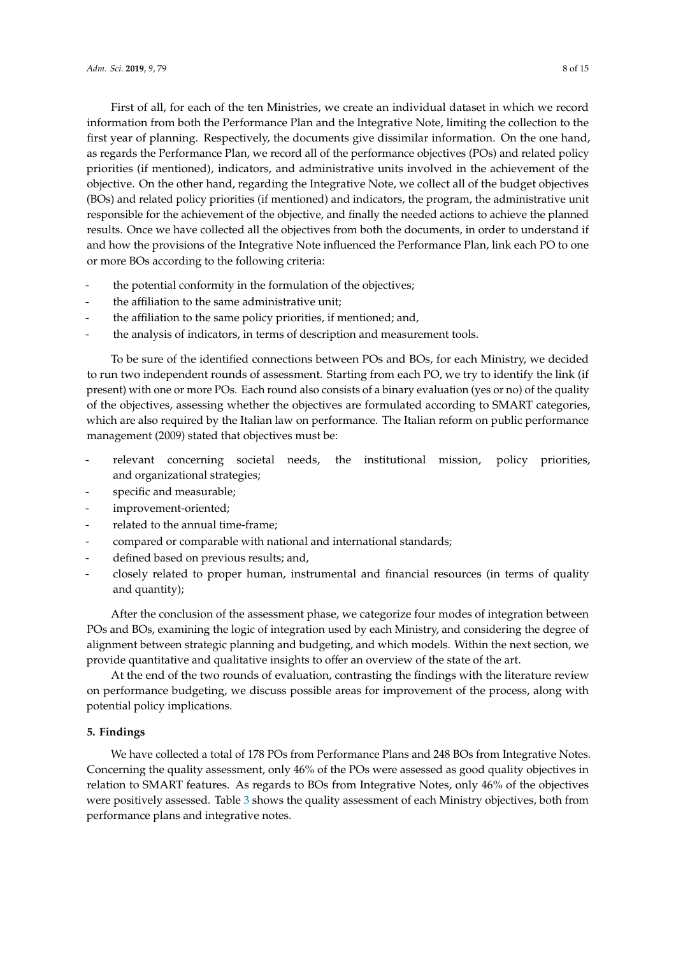First of all, for each of the ten Ministries, we create an individual dataset in which we record information from both the Performance Plan and the Integrative Note, limiting the collection to the first year of planning. Respectively, the documents give dissimilar information. On the one hand, as regards the Performance Plan, we record all of the performance objectives (POs) and related policy priorities (if mentioned), indicators, and administrative units involved in the achievement of the objective. On the other hand, regarding the Integrative Note, we collect all of the budget objectives (BOs) and related policy priorities (if mentioned) and indicators, the program, the administrative unit responsible for the achievement of the objective, and finally the needed actions to achieve the planned results. Once we have collected all the objectives from both the documents, in order to understand if and how the provisions of the Integrative Note influenced the Performance Plan, link each PO to one or more BOs according to the following criteria:

- the potential conformity in the formulation of the objectives;
- the affiliation to the same administrative unit;
- the affiliation to the same policy priorities, if mentioned; and,
- the analysis of indicators, in terms of description and measurement tools.

To be sure of the identified connections between POs and BOs, for each Ministry, we decided to run two independent rounds of assessment. Starting from each PO, we try to identify the link (if present) with one or more POs. Each round also consists of a binary evaluation (yes or no) of the quality of the objectives, assessing whether the objectives are formulated according to SMART categories, which are also required by the Italian law on performance. The Italian reform on public performance management (2009) stated that objectives must be:

- relevant concerning societal needs, the institutional mission, policy priorities, and organizational strategies;
- specific and measurable;
- improvement-oriented;
- related to the annual time-frame;
- compared or comparable with national and international standards;
- defined based on previous results; and,
- closely related to proper human, instrumental and financial resources (in terms of quality and quantity);

After the conclusion of the assessment phase, we categorize four modes of integration between POs and BOs, examining the logic of integration used by each Ministry, and considering the degree of alignment between strategic planning and budgeting, and which models. Within the next section, we provide quantitative and qualitative insights to offer an overview of the state of the art.

At the end of the two rounds of evaluation, contrasting the findings with the literature review on performance budgeting, we discuss possible areas for improvement of the process, along with potential policy implications.

# **5. Findings**

We have collected a total of 178 POs from Performance Plans and 248 BOs from Integrative Notes. Concerning the quality assessment, only 46% of the POs were assessed as good quality objectives in relation to SMART features. As regards to BOs from Integrative Notes, only 46% of the objectives were positively assessed. Table [3](#page-8-0) shows the quality assessment of each Ministry objectives, both from performance plans and integrative notes.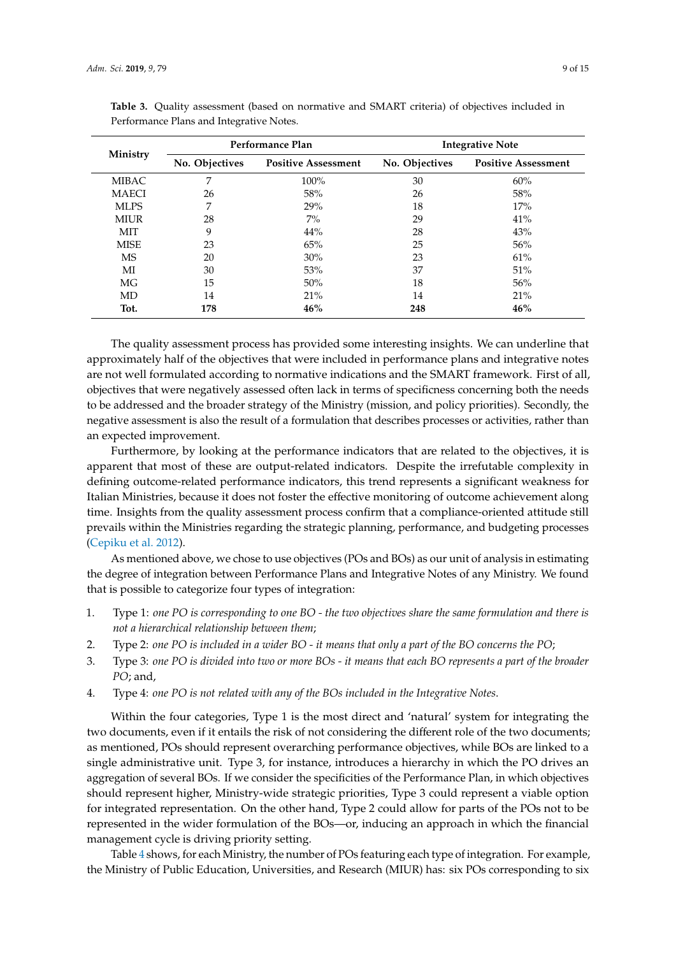| Ministry     | Performance Plan |                            | <b>Integrative Note</b> |                            |  |
|--------------|------------------|----------------------------|-------------------------|----------------------------|--|
|              | No. Objectives   | <b>Positive Assessment</b> | No. Objectives          | <b>Positive Assessment</b> |  |
| <b>MIBAC</b> | 7                | 100%                       | 30                      | 60%                        |  |
| <b>MAECI</b> | 26               | 58%                        | 26                      | 58%                        |  |
| <b>MLPS</b>  | 7                | 29%                        | 18                      | 17%                        |  |
| <b>MIUR</b>  | 28               | $7\%$                      | 29                      | 41%                        |  |
| <b>MIT</b>   | 9                | 44%                        | 28                      | 43%                        |  |
| <b>MISE</b>  | 23               | 65%                        | 25                      | 56%                        |  |
| <b>MS</b>    | 20               | 30%                        | 23                      | 61%                        |  |
| МI           | 30               | 53%                        | 37                      | 51%                        |  |
| МG           | 15               | 50%                        | 18                      | 56%                        |  |
| MD           | 14               | 21%                        | 14                      | 21%                        |  |
| Tot.         | 178              | 46%                        | 248                     | 46%                        |  |

<span id="page-8-0"></span>**Table 3.** Quality assessment (based on normative and SMART criteria) of objectives included in Performance Plans and Integrative Notes.

The quality assessment process has provided some interesting insights. We can underline that approximately half of the objectives that were included in performance plans and integrative notes are not well formulated according to normative indications and the SMART framework. First of all, objectives that were negatively assessed often lack in terms of specificness concerning both the needs to be addressed and the broader strategy of the Ministry (mission, and policy priorities). Secondly, the negative assessment is also the result of a formulation that describes processes or activities, rather than an expected improvement.

Furthermore, by looking at the performance indicators that are related to the objectives, it is apparent that most of these are output-related indicators. Despite the irrefutable complexity in defining outcome-related performance indicators, this trend represents a significant weakness for Italian Ministries, because it does not foster the effective monitoring of outcome achievement along time. Insights from the quality assessment process confirm that a compliance-oriented attitude still prevails within the Ministries regarding the strategic planning, performance, and budgeting processes [\(Cepiku et al.](#page-11-10) [2012\)](#page-11-10).

As mentioned above, we chose to use objectives (POs and BOs) as our unit of analysis in estimating the degree of integration between Performance Plans and Integrative Notes of any Ministry. We found that is possible to categorize four types of integration:

- 1. Type 1: *one PO is corresponding to one BO the two objectives share the same formulation and there is not a hierarchical relationship between them*;
- 2. Type 2: *one PO is included in a wider BO it means that only a part of the BO concerns the PO*;
- 3. Type 3: *one PO is divided into two or more BOs it means that each BO represents a part of the broader PO*; and,
- 4. Type 4: *one PO is not related with any of the BOs included in the Integrative Notes*.

Within the four categories, Type 1 is the most direct and 'natural' system for integrating the two documents, even if it entails the risk of not considering the different role of the two documents; as mentioned, POs should represent overarching performance objectives, while BOs are linked to a single administrative unit. Type 3, for instance, introduces a hierarchy in which the PO drives an aggregation of several BOs. If we consider the specificities of the Performance Plan, in which objectives should represent higher, Ministry-wide strategic priorities, Type 3 could represent a viable option for integrated representation. On the other hand, Type 2 could allow for parts of the POs not to be represented in the wider formulation of the BOs—or, inducing an approach in which the financial management cycle is driving priority setting.

Table [4](#page-9-0) shows, for each Ministry, the number of POs featuring each type of integration. For example, the Ministry of Public Education, Universities, and Research (MIUR) has: six POs corresponding to six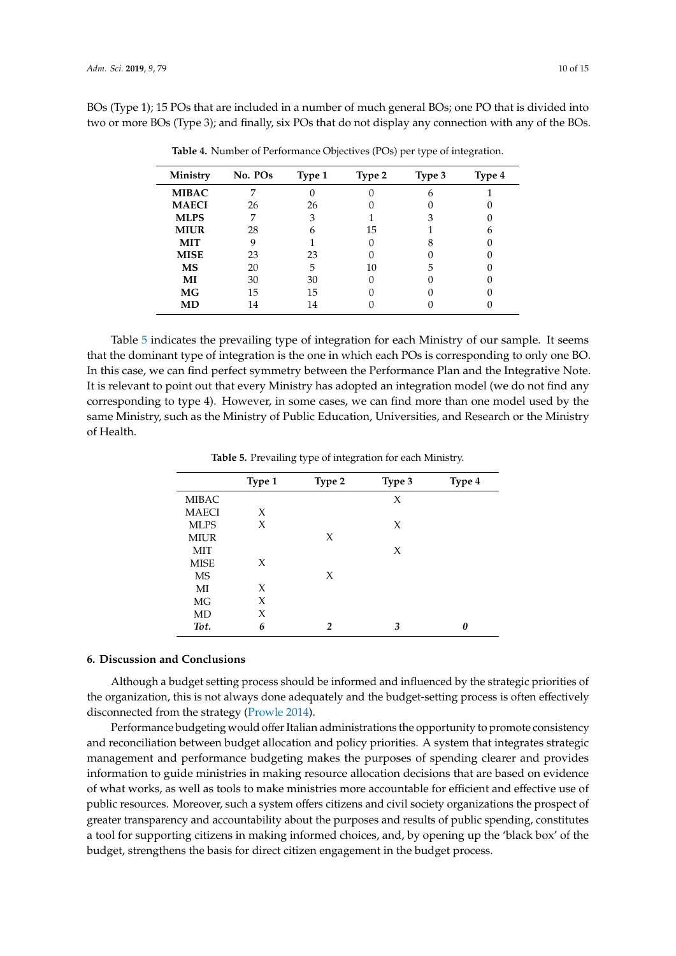<span id="page-9-0"></span>BOs (Type 1); 15 POs that are included in a number of much general BOs; one PO that is divided into two or more BOs (Type 3); and finally, six POs that do not display any connection with any of the BOs.

| Ministry     | No. POs | Type 1 | Type 2 | Type 3 | Type 4 |
|--------------|---------|--------|--------|--------|--------|
| <b>MIBAC</b> |         |        |        | 6      |        |
| <b>MAECI</b> | 26      | 26     |        |        |        |
| <b>MLPS</b>  |         | 3      |        | 3      |        |
| <b>MIUR</b>  | 28      | 6      | 15     |        |        |
| <b>MIT</b>   | 9       |        |        |        |        |
| <b>MISE</b>  | 23      | 23     |        |        |        |
| MS           | 20      | 5      | 10     | 5      |        |
| MI           | 30      | 30     |        |        |        |
| <b>MG</b>    | 15      | 15     |        |        |        |
| MD           | 14      | 14     |        |        |        |

**Table 4.** Number of Performance Objectives (POs) per type of integration.

Table [5](#page-9-1) indicates the prevailing type of integration for each Ministry of our sample. It seems that the dominant type of integration is the one in which each POs is corresponding to only one BO. In this case, we can find perfect symmetry between the Performance Plan and the Integrative Note. It is relevant to point out that every Ministry has adopted an integration model (we do not find any corresponding to type 4). However, in some cases, we can find more than one model used by the same Ministry, such as the Ministry of Public Education, Universities, and Research or the Ministry of Health.

**Table 5.** Prevailing type of integration for each Ministry.

<span id="page-9-1"></span>

|              | Type 1 | Type 2        | Type 3 | Type 4 |
|--------------|--------|---------------|--------|--------|
| <b>MIBAC</b> |        |               | X      |        |
| <b>MAECI</b> | X      |               |        |        |
| <b>MLPS</b>  | X      |               | X      |        |
| <b>MIUR</b>  |        | X             |        |        |
| <b>MIT</b>   |        |               | X      |        |
| <b>MISE</b>  | X      |               |        |        |
| MS           |        | X             |        |        |
| МI           | X      |               |        |        |
| MG           | X      |               |        |        |
| MD           | X      |               |        |        |
| Tot.         | 6      | $\mathcal{P}$ | 3      |        |

### **6. Discussion and Conclusions**

Although a budget setting process should be informed and influenced by the strategic priorities of the organization, this is not always done adequately and the budget-setting process is often effectively disconnected from the strategy [\(Prowle](#page-13-3) [2014\)](#page-13-3).

Performance budgeting would offer Italian administrations the opportunity to promote consistency and reconciliation between budget allocation and policy priorities. A system that integrates strategic management and performance budgeting makes the purposes of spending clearer and provides information to guide ministries in making resource allocation decisions that are based on evidence of what works, as well as tools to make ministries more accountable for efficient and effective use of public resources. Moreover, such a system offers citizens and civil society organizations the prospect of greater transparency and accountability about the purposes and results of public spending, constitutes a tool for supporting citizens in making informed choices, and, by opening up the 'black box' of the budget, strengthens the basis for direct citizen engagement in the budget process.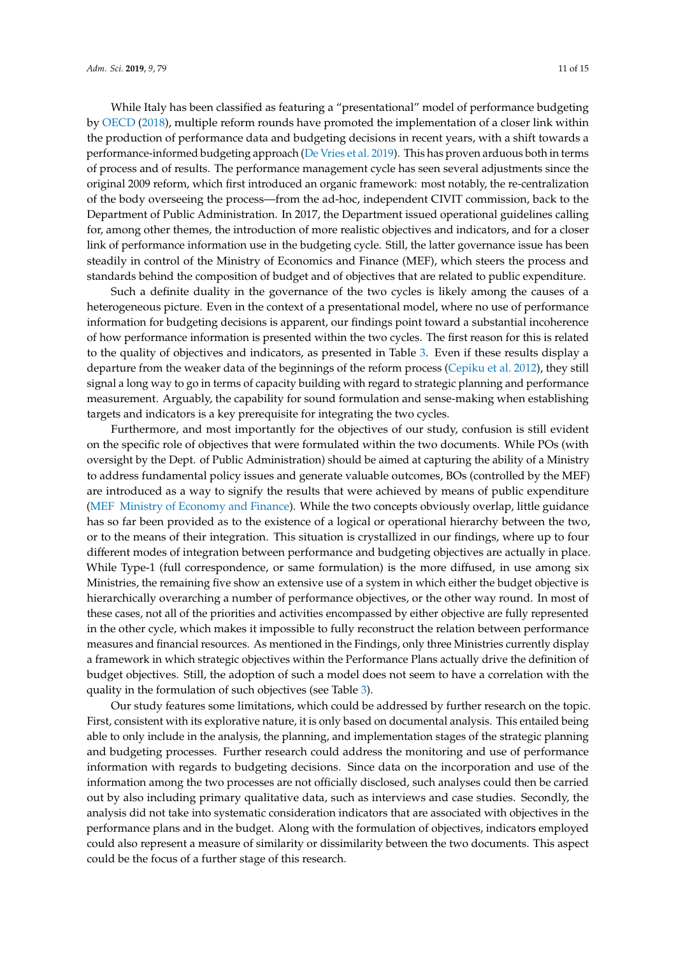While Italy has been classified as featuring a "presentational" model of performance budgeting by [OECD](#page-13-12) [\(2018\)](#page-13-12), multiple reform rounds have promoted the implementation of a closer link within the production of performance data and budgeting decisions in recent years, with a shift towards a performance-informed budgeting approach [\(De Vries et al.](#page-12-21) [2019\)](#page-12-21). This has proven arduous both in terms of process and of results. The performance management cycle has seen several adjustments since the original 2009 reform, which first introduced an organic framework: most notably, the re-centralization of the body overseeing the process—from the ad-hoc, independent CIVIT commission, back to the Department of Public Administration. In 2017, the Department issued operational guidelines calling for, among other themes, the introduction of more realistic objectives and indicators, and for a closer link of performance information use in the budgeting cycle. Still, the latter governance issue has been steadily in control of the Ministry of Economics and Finance (MEF), which steers the process and standards behind the composition of budget and of objectives that are related to public expenditure.

Such a definite duality in the governance of the two cycles is likely among the causes of a heterogeneous picture. Even in the context of a presentational model, where no use of performance information for budgeting decisions is apparent, our findings point toward a substantial incoherence of how performance information is presented within the two cycles. The first reason for this is related to the quality of objectives and indicators, as presented in Table [3.](#page-8-0) Even if these results display a departure from the weaker data of the beginnings of the reform process [\(Cepiku et al.](#page-11-10) [2012\)](#page-11-10), they still signal a long way to go in terms of capacity building with regard to strategic planning and performance measurement. Arguably, the capability for sound formulation and sense-making when establishing targets and indicators is a key prerequisite for integrating the two cycles.

Furthermore, and most importantly for the objectives of our study, confusion is still evident on the specific role of objectives that were formulated within the two documents. While POs (with oversight by the Dept. of Public Administration) should be aimed at capturing the ability of a Ministry to address fundamental policy issues and generate valuable outcomes, BOs (controlled by the MEF) are introduced as a way to signify the results that were achieved by means of public expenditure [\(MEF](#page-13-19) [Ministry of Economy and Finance\)](#page-13-19). While the two concepts obviously overlap, little guidance has so far been provided as to the existence of a logical or operational hierarchy between the two, or to the means of their integration. This situation is crystallized in our findings, where up to four different modes of integration between performance and budgeting objectives are actually in place. While Type-1 (full correspondence, or same formulation) is the more diffused, in use among six Ministries, the remaining five show an extensive use of a system in which either the budget objective is hierarchically overarching a number of performance objectives, or the other way round. In most of these cases, not all of the priorities and activities encompassed by either objective are fully represented in the other cycle, which makes it impossible to fully reconstruct the relation between performance measures and financial resources. As mentioned in the Findings, only three Ministries currently display a framework in which strategic objectives within the Performance Plans actually drive the definition of budget objectives. Still, the adoption of such a model does not seem to have a correlation with the quality in the formulation of such objectives (see Table [3\)](#page-8-0).

Our study features some limitations, which could be addressed by further research on the topic. First, consistent with its explorative nature, it is only based on documental analysis. This entailed being able to only include in the analysis, the planning, and implementation stages of the strategic planning and budgeting processes. Further research could address the monitoring and use of performance information with regards to budgeting decisions. Since data on the incorporation and use of the information among the two processes are not officially disclosed, such analyses could then be carried out by also including primary qualitative data, such as interviews and case studies. Secondly, the analysis did not take into systematic consideration indicators that are associated with objectives in the performance plans and in the budget. Along with the formulation of objectives, indicators employed could also represent a measure of similarity or dissimilarity between the two documents. This aspect could be the focus of a further stage of this research.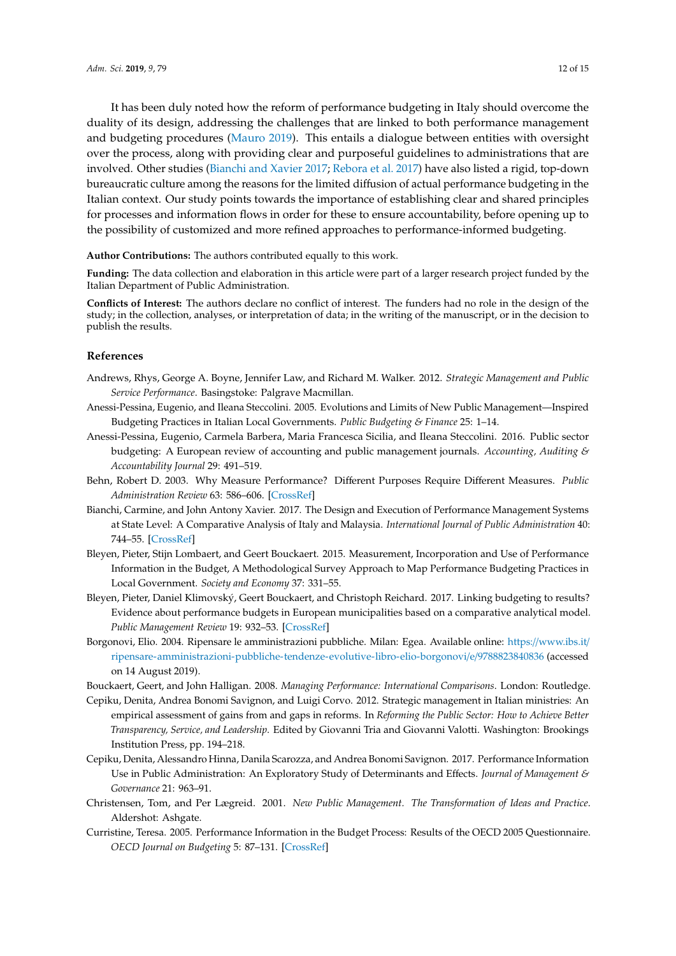It has been duly noted how the reform of performance budgeting in Italy should overcome the duality of its design, addressing the challenges that are linked to both performance management and budgeting procedures [\(Mauro](#page-13-2) [2019\)](#page-13-2). This entails a dialogue between entities with oversight over the process, along with providing clear and purposeful guidelines to administrations that are involved. Other studies [\(Bianchi and Xavier](#page-11-11) [2017;](#page-11-11) [Rebora et al.](#page-13-20) [2017\)](#page-13-20) have also listed a rigid, top-down bureaucratic culture among the reasons for the limited diffusion of actual performance budgeting in the Italian context. Our study points towards the importance of establishing clear and shared principles for processes and information flows in order for these to ensure accountability, before opening up to the possibility of customized and more refined approaches to performance-informed budgeting.

**Author Contributions:** The authors contributed equally to this work.

**Funding:** The data collection and elaboration in this article were part of a larger research project funded by the Italian Department of Public Administration.

**Conflicts of Interest:** The authors declare no conflict of interest. The funders had no role in the design of the study; in the collection, analyses, or interpretation of data; in the writing of the manuscript, or in the decision to publish the results.

#### **References**

- <span id="page-11-5"></span>Andrews, Rhys, George A. Boyne, Jennifer Law, and Richard M. Walker. 2012. *Strategic Management and Public Service Performance*. Basingstoke: Palgrave Macmillan.
- <span id="page-11-3"></span>Anessi-Pessina, Eugenio, and Ileana Steccolini. 2005. Evolutions and Limits of New Public Management—Inspired Budgeting Practices in Italian Local Governments. *Public Budgeting & Finance* 25: 1–14.
- <span id="page-11-0"></span>Anessi-Pessina, Eugenio, Carmela Barbera, Maria Francesca Sicilia, and Ileana Steccolini. 2016. Public sector budgeting: A European review of accounting and public management journals. *Accounting, Auditing & Accountability Journal* 29: 491–519.
- <span id="page-11-6"></span>Behn, Robert D. 2003. Why Measure Performance? Different Purposes Require Different Measures. *Public Administration Review* 63: 586–606. [\[CrossRef\]](http://dx.doi.org/10.1111/1540-6210.00322)
- <span id="page-11-11"></span>Bianchi, Carmine, and John Antony Xavier. 2017. The Design and Execution of Performance Management Systems at State Level: A Comparative Analysis of Italy and Malaysia. *International Journal of Public Administration* 40: 744–55. [\[CrossRef\]](http://dx.doi.org/10.1080/01900692.2016.1191034)
- <span id="page-11-2"></span>Bleyen, Pieter, Stijn Lombaert, and Geert Bouckaert. 2015. Measurement, Incorporation and Use of Performance Information in the Budget, A Methodological Survey Approach to Map Performance Budgeting Practices in Local Government. *Society and Economy* 37: 331–55.
- <span id="page-11-1"></span>Bleyen, Pieter, Daniel Klimovský, Geert Bouckaert, and Christoph Reichard. 2017. Linking budgeting to results? Evidence about performance budgets in European municipalities based on a comparative analytical model. *Public Management Review* 19: 932–53. [\[CrossRef\]](http://dx.doi.org/10.1080/14719037.2016.1243837)
- <span id="page-11-4"></span>Borgonovi, Elio. 2004. Ripensare le amministrazioni pubbliche. Milan: Egea. Available online: https://[www.ibs.it](https://www.ibs.it/ripensare-amministrazioni-pubbliche-tendenze-evolutive-libro-elio-borgonovi/e/9788823840836)/ [ripensare-amministrazioni-pubbliche-tendenze-evolutive-libro-elio-borgonovi](https://www.ibs.it/ripensare-amministrazioni-pubbliche-tendenze-evolutive-libro-elio-borgonovi/e/9788823840836)/e/9788823840836 (accessed on 14 August 2019).
- <span id="page-11-8"></span>Bouckaert, Geert, and John Halligan. 2008. *Managing Performance: International Comparisons*. London: Routledge.
- <span id="page-11-10"></span>Cepiku, Denita, Andrea Bonomi Savignon, and Luigi Corvo. 2012. Strategic management in Italian ministries: An empirical assessment of gains from and gaps in reforms. In *Reforming the Public Sector: How to Achieve Better Transparency, Service, and Leadership*. Edited by Giovanni Tria and Giovanni Valotti. Washington: Brookings Institution Press, pp. 194–218.
- <span id="page-11-12"></span>Cepiku, Denita, Alessandro Hinna, Danila Scarozza, and Andrea Bonomi Savignon. 2017. Performance Information Use in Public Administration: An Exploratory Study of Determinants and Effects. *Journal of Management & Governance* 21: 963–91.
- <span id="page-11-7"></span>Christensen, Tom, and Per Lægreid. 2001. *New Public Management. The Transformation of Ideas and Practice*. Aldershot: Ashgate.
- <span id="page-11-9"></span>Curristine, Teresa. 2005. Performance Information in the Budget Process: Results of the OECD 2005 Questionnaire. *OECD Journal on Budgeting* 5: 87–131. [\[CrossRef\]](http://dx.doi.org/10.1787/budget-v5-art13-en)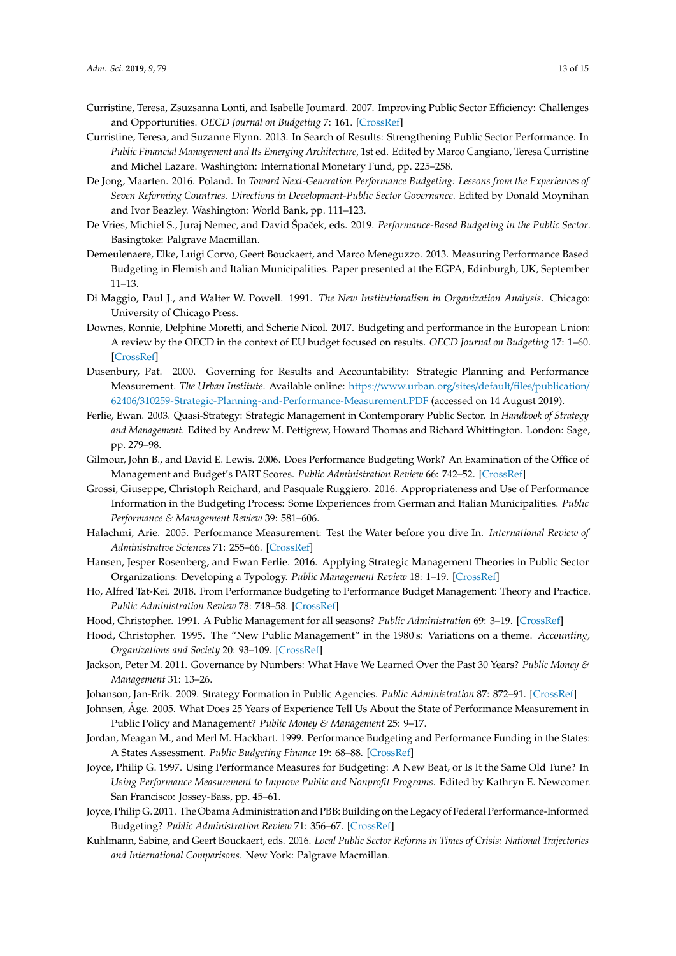- <span id="page-12-18"></span>Curristine, Teresa, Zsuzsanna Lonti, and Isabelle Joumard. 2007. Improving Public Sector Efficiency: Challenges and Opportunities. *OECD Journal on Budgeting* 7: 161. [\[CrossRef\]](http://dx.doi.org/10.1787/budget-v7-art6-en)
- <span id="page-12-6"></span>Curristine, Teresa, and Suzanne Flynn. 2013. In Search of Results: Strengthening Public Sector Performance. In *Public Financial Management and Its Emerging Architecture*, 1st ed. Edited by Marco Cangiano, Teresa Curristine and Michel Lazare. Washington: International Monetary Fund, pp. 225–258.
- <span id="page-12-22"></span>De Jong, Maarten. 2016. Poland. In *Toward Next-Generation Performance Budgeting: Lessons from the Experiences of Seven Reforming Countries. Directions in Development-Public Sector Governance*. Edited by Donald Moynihan and Ivor Beazley. Washington: World Bank, pp. 111–123.
- <span id="page-12-21"></span>De Vries, Michiel S., Juraj Nemec, and David Špaček, eds. 2019. Performance-Based Budgeting in the Public Sector. Basingtoke: Palgrave Macmillan.
- <span id="page-12-17"></span>Demeulenaere, Elke, Luigi Corvo, Geert Bouckaert, and Marco Meneguzzo. 2013. Measuring Performance Based Budgeting in Flemish and Italian Municipalities. Paper presented at the EGPA, Edinburgh, UK, September 11–13.
- <span id="page-12-16"></span>Di Maggio, Paul J., and Walter W. Powell. 1991. *The New Institutionalism in Organization Analysis*. Chicago: University of Chicago Press.
- <span id="page-12-19"></span>Downes, Ronnie, Delphine Moretti, and Scherie Nicol. 2017. Budgeting and performance in the European Union: A review by the OECD in the context of EU budget focused on results. *OECD Journal on Budgeting* 17: 1–60. [\[CrossRef\]](http://dx.doi.org/10.1787/budget-17-5jfnx7fj38r2)
- <span id="page-12-10"></span>Dusenbury, Pat. 2000. Governing for Results and Accountability: Strategic Planning and Performance Measurement. *The Urban Institute*. Available online: https://[www.urban.org](https://www.urban.org/sites/default/files/publication/62406/310259-Strategic-Planning-and-Performance-Measurement.PDF)/sites/default/files/publication/ 62406/[310259-Strategic-Planning-and-Performance-Measurement.PDF](https://www.urban.org/sites/default/files/publication/62406/310259-Strategic-Planning-and-Performance-Measurement.PDF) (accessed on 14 August 2019).
- <span id="page-12-7"></span>Ferlie, Ewan. 2003. Quasi-Strategy: Strategic Management in Contemporary Public Sector. In *Handbook of Strategy and Management*. Edited by Andrew M. Pettigrew, Howard Thomas and Richard Whittington. London: Sage, pp. 279–98.
- <span id="page-12-12"></span>Gilmour, John B., and David E. Lewis. 2006. Does Performance Budgeting Work? An Examination of the Office of Management and Budget's PART Scores. *Public Administration Review* 66: 742–52. [\[CrossRef\]](http://dx.doi.org/10.1111/j.1540-6210.2006.00639.x)
- <span id="page-12-15"></span>Grossi, Giuseppe, Christoph Reichard, and Pasquale Ruggiero. 2016. Appropriateness and Use of Performance Information in the Budgeting Process: Some Experiences from German and Italian Municipalities. *Public Performance & Management Review* 39: 581–606.
- <span id="page-12-1"></span>Halachmi, Arie. 2005. Performance Measurement: Test the Water before you dive In. *International Review of Administrative Sciences* 71: 255–66. [\[CrossRef\]](http://dx.doi.org/10.1177/0020852305053884)
- <span id="page-12-9"></span>Hansen, Jesper Rosenberg, and Ewan Ferlie. 2016. Applying Strategic Management Theories in Public Sector Organizations: Developing a Typology. *Public Management Review* 18: 1–19. [\[CrossRef\]](http://dx.doi.org/10.1080/14719037.2014.957339)
- <span id="page-12-2"></span>Ho, Alfred Tat-Kei. 2018. From Performance Budgeting to Performance Budget Management: Theory and Practice. *Public Administration Review* 78: 748–58. [\[CrossRef\]](http://dx.doi.org/10.1111/puar.12915)
- <span id="page-12-3"></span>Hood, Christopher. 1991. A Public Management for all seasons? *Public Administration* 69: 3–19. [\[CrossRef\]](http://dx.doi.org/10.1111/j.1467-9299.1991.tb00779.x)
- <span id="page-12-4"></span>Hood, Christopher. 1995. The "New Public Management" in the 1980's: Variations on a theme. *Accounting, Organizations and Society* 20: 93–109. [\[CrossRef\]](http://dx.doi.org/10.1016/0361-3682(93)E0001-W)
- <span id="page-12-14"></span>Jackson, Peter M. 2011. Governance by Numbers: What Have We Learned Over the Past 30 Years? *Public Money & Management* 31: 13–26.
- <span id="page-12-13"></span><span id="page-12-8"></span>Johanson, Jan-Erik. 2009. Strategy Formation in Public Agencies. *Public Administration* 87: 872–91. [\[CrossRef\]](http://dx.doi.org/10.1111/j.1467-9299.2009.01767.x)
- Johnsen, Åge. 2005. What Does 25 Years of Experience Tell Us About the State of Performance Measurement in Public Policy and Management? *Public Money & Management* 25: 9–17.
- <span id="page-12-20"></span>Jordan, Meagan M., and Merl M. Hackbart. 1999. Performance Budgeting and Performance Funding in the States: A States Assessment. *Public Budgeting Finance* 19: 68–88. [\[CrossRef\]](http://dx.doi.org/10.1046/j.0275-1100.1999.01157.x)
- <span id="page-12-0"></span>Joyce, Philip G. 1997. Using Performance Measures for Budgeting: A New Beat, or Is It the Same Old Tune? In *Using Performance Measurement to Improve Public and Nonprofit Programs*. Edited by Kathryn E. Newcomer. San Francisco: Jossey-Bass, pp. 45–61.
- <span id="page-12-11"></span>Joyce, Philip G. 2011. The Obama Administration and PBB: Building on the Legacy of Federal Performance-Informed Budgeting? *Public Administration Review* 71: 356–67. [\[CrossRef\]](http://dx.doi.org/10.1111/j.1540-6210.2011.02355.x)
- <span id="page-12-5"></span>Kuhlmann, Sabine, and Geert Bouckaert, eds. 2016. *Local Public Sector Reforms in Times of Crisis: National Trajectories and International Comparisons*. New York: Palgrave Macmillan.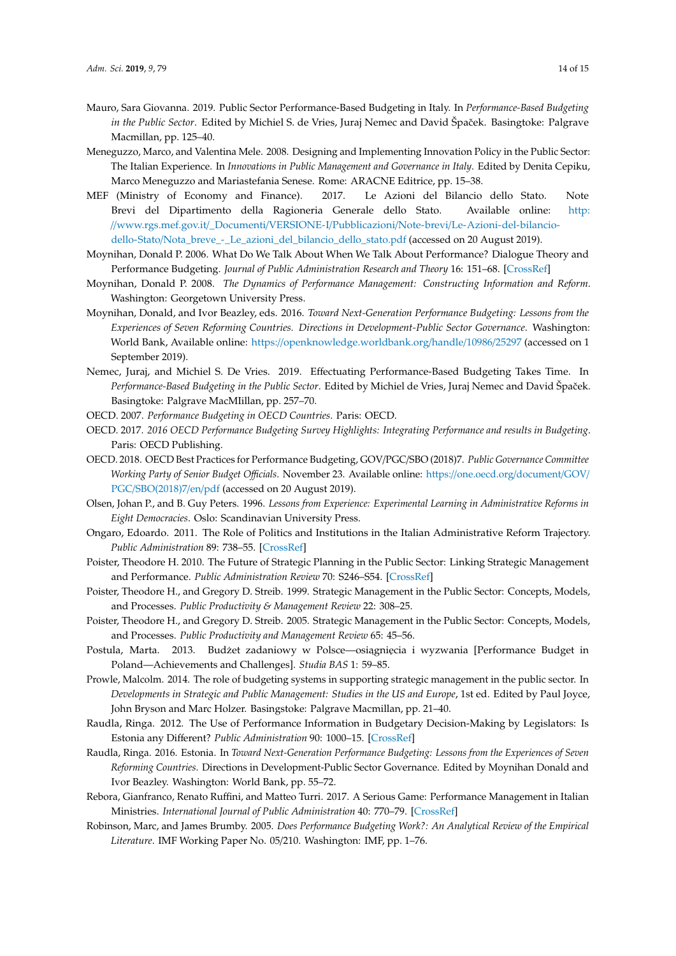- <span id="page-13-2"></span>Mauro, Sara Giovanna. 2019. Public Sector Performance-Based Budgeting in Italy. In *Performance-Based Budgeting in the Public Sector*. Edited by Michiel S. de Vries, Juraj Nemec and David Špaˇcek. Basingtoke: Palgrave Macmillan, pp. 125–40.
- <span id="page-13-0"></span>Meneguzzo, Marco, and Valentina Mele. 2008. Designing and Implementing Innovation Policy in the Public Sector: The Italian Experience. In *Innovations in Public Management and Governance in Italy*. Edited by Denita Cepiku, Marco Meneguzzo and Mariastefania Senese. Rome: ARACNE Editrice, pp. 15–38.
- <span id="page-13-19"></span>MEF (Ministry of Economy and Finance). 2017. Le Azioni del Bilancio dello Stato. Note Brevi del Dipartimento della Ragioneria Generale dello Stato. Available online: [http:](http://www.rgs.mef.gov.it/_Documenti/VERSIONE-I/Pubblicazioni/Note-brevi/Le-Azioni-del-bilancio-dello-Stato/Nota_breve_-_Le_azioni_del_bilancio_dello_stato.pdf) //www.rgs.mef.gov.it/\_Documenti/VERSIONE-I/Pubblicazioni/Note-brevi/[Le-Azioni-del-bilancio](http://www.rgs.mef.gov.it/_Documenti/VERSIONE-I/Pubblicazioni/Note-brevi/Le-Azioni-del-bilancio-dello-Stato/Nota_breve_-_Le_azioni_del_bilancio_dello_stato.pdf)dello-Stato/[Nota\\_breve\\_-\\_Le\\_azioni\\_del\\_bilancio\\_dello\\_stato.pdf](http://www.rgs.mef.gov.it/_Documenti/VERSIONE-I/Pubblicazioni/Note-brevi/Le-Azioni-del-bilancio-dello-Stato/Nota_breve_-_Le_azioni_del_bilancio_dello_stato.pdf) (accessed on 20 August 2019).
- <span id="page-13-16"></span>Moynihan, Donald P. 2006. What Do We Talk About When We Talk About Performance? Dialogue Theory and Performance Budgeting. *Journal of Public Administration Research and Theory* 16: 151–68. [\[CrossRef\]](http://dx.doi.org/10.1093/jopart/muj003)
- <span id="page-13-17"></span>Moynihan, Donald P. 2008. *The Dynamics of Performance Management: Constructing Information and Reform*. Washington: Georgetown University Press.
- <span id="page-13-18"></span>Moynihan, Donald, and Ivor Beazley, eds. 2016. *Toward Next-Generation Performance Budgeting: Lessons from the Experiences of Seven Reforming Countries. Directions in Development-Public Sector Governance*. Washington: World Bank, Available online: https://[openknowledge.worldbank.org](https://openknowledge.worldbank.org/handle/10986/25297)/handle/10986/25297 (accessed on 1 September 2019).
- <span id="page-13-8"></span>Nemec, Juraj, and Michiel S. De Vries. 2019. Effectuating Performance-Based Budgeting Takes Time. In Performance-Based Budgeting in the Public Sector. Edited by Michiel de Vries, Juraj Nemec and David Špaček. Basingtoke: Palgrave MacMIillan, pp. 257–70.
- <span id="page-13-13"></span>OECD. 2007. *Performance Budgeting in OECD Countries*. Paris: OECD.
- <span id="page-13-9"></span>OECD. 2017. *2016 OECD Performance Budgeting Survey Highlights: Integrating Performance and results in Budgeting*. Paris: OECD Publishing.
- <span id="page-13-12"></span>OECD. 2018. OECD Best Practices for Performance Budgeting, GOV/PGC/SBO (2018)7. *Public Governance Committee Working Party of Senior Budget O*ffi*cials*. November 23. Available online: https://[one.oecd.org](https://one.oecd.org/document/GOV/PGC/SBO(2018)7/en/pdf)/document/GOV/ PGC/[SBO\(2018\)7](https://one.oecd.org/document/GOV/PGC/SBO(2018)7/en/pdf)/en/pdf (accessed on 20 August 2019).
- <span id="page-13-11"></span>Olsen, Johan P., and B. Guy Peters. 1996. *Lessons from Experience: Experimental Learning in Administrative Reforms in Eight Democracies*. Oslo: Scandinavian University Press.
- <span id="page-13-1"></span>Ongaro, Edoardo. 2011. The Role of Politics and Institutions in the Italian Administrative Reform Trajectory. *Public Administration* 89: 738–55. [\[CrossRef\]](http://dx.doi.org/10.1111/j.1467-9299.2010.01885.x)
- <span id="page-13-6"></span>Poister, Theodore H. 2010. The Future of Strategic Planning in the Public Sector: Linking Strategic Management and Performance. *Public Administration Review* 70: S246–S54. [\[CrossRef\]](http://dx.doi.org/10.1111/j.1540-6210.2010.02284.x)
- <span id="page-13-4"></span>Poister, Theodore H., and Gregory D. Streib. 1999. Strategic Management in the Public Sector: Concepts, Models, and Processes. *Public Productivity & Management Review* 22: 308–25.
- <span id="page-13-5"></span>Poister, Theodore H., and Gregory D. Streib. 2005. Strategic Management in the Public Sector: Concepts, Models, and Processes. *Public Productivity and Management Review* 65: 45–56.
- <span id="page-13-15"></span>Postula, Marta. 2013. Budżet zadaniowy w Polsce—osiągnięcia i wyzwania [Performance Budget in Poland—Achievements and Challenges]. *Studia BAS* 1: 59–85.
- <span id="page-13-3"></span>Prowle, Malcolm. 2014. The role of budgeting systems in supporting strategic management in the public sector. In *Developments in Strategic and Public Management: Studies in the US and Europe*, 1st ed. Edited by Paul Joyce, John Bryson and Marc Holzer. Basingstoke: Palgrave Macmillan, pp. 21–40.
- <span id="page-13-10"></span>Raudla, Ringa. 2012. The Use of Performance Information in Budgetary Decision-Making by Legislators: Is Estonia any Different? *Public Administration* 90: 1000–15. [\[CrossRef\]](http://dx.doi.org/10.1111/j.1467-9299.2012.02041.x)
- <span id="page-13-14"></span>Raudla, Ringa. 2016. Estonia. In *Toward Next-Generation Performance Budgeting: Lessons from the Experiences of Seven Reforming Countries*. Directions in Development-Public Sector Governance. Edited by Moynihan Donald and Ivor Beazley. Washington: World Bank, pp. 55–72.
- <span id="page-13-20"></span>Rebora, Gianfranco, Renato Ruffini, and Matteo Turri. 2017. A Serious Game: Performance Management in Italian Ministries. *International Journal of Public Administration* 40: 770–79. [\[CrossRef\]](http://dx.doi.org/10.1080/01900692.2016.1201103)
- <span id="page-13-7"></span>Robinson, Marc, and James Brumby. 2005. *Does Performance Budgeting Work?: An Analytical Review of the Empirical Literature*. IMF Working Paper No. 05/210. Washington: IMF, pp. 1–76.